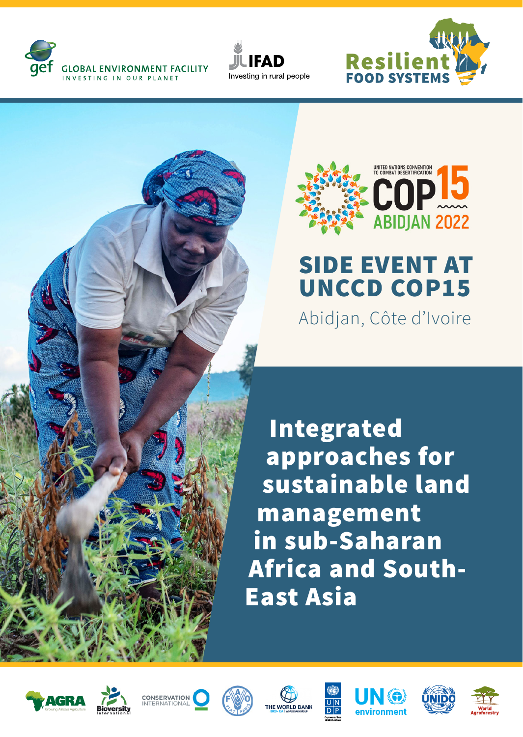







## SIDE EVENT AT UNCCD COP15

Abidjan, Côte d'Ivoire

Integrated approaches for sustainable land management in sub-Saharan Africa and South-East Asia